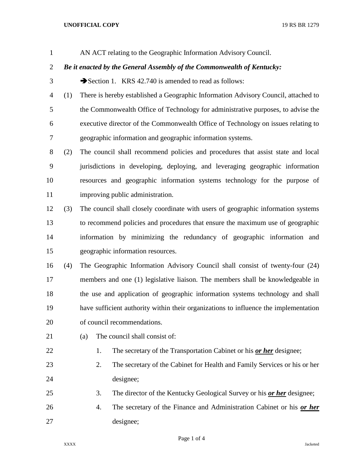## **UNOFFICIAL COPY** 19 RS BR 1279

AN ACT relating to the Geographic Information Advisory Council.

## *Be it enacted by the General Assembly of the Commonwealth of Kentucky:*

3 Section 1. KRS 42.740 is amended to read as follows:

 (1) There is hereby established a Geographic Information Advisory Council, attached to the Commonwealth Office of Technology for administrative purposes, to advise the executive director of the Commonwealth Office of Technology on issues relating to geographic information and geographic information systems.

 (2) The council shall recommend policies and procedures that assist state and local jurisdictions in developing, deploying, and leveraging geographic information resources and geographic information systems technology for the purpose of improving public administration.

 (3) The council shall closely coordinate with users of geographic information systems to recommend policies and procedures that ensure the maximum use of geographic information by minimizing the redundancy of geographic information and geographic information resources.

 (4) The Geographic Information Advisory Council shall consist of twenty-four (24) members and one (1) legislative liaison. The members shall be knowledgeable in the use and application of geographic information systems technology and shall have sufficient authority within their organizations to influence the implementation of council recommendations.

21 (a) The council shall consist of:

1. The secretary of the Transportation Cabinet or his *or her* designee;

- 2. The secretary of the Cabinet for Health and Family Services or his or her designee;
- 3. The director of the Kentucky Geological Survey or his *or her* designee;
- 4. The secretary of the Finance and Administration Cabinet or his *or her* designee;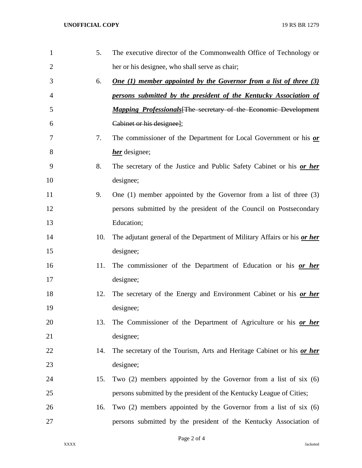| $\mathbf{1}$   | 5.  | The executive director of the Commonwealth Office of Technology or       |
|----------------|-----|--------------------------------------------------------------------------|
| $\overline{2}$ |     | her or his designee, who shall serve as chair;                           |
| 3              | 6.  | <b>One (1) member appointed by the Governor from a list of three (3)</b> |
| 4              |     | persons submitted by the president of the Kentucky Association of        |
| 5              |     | <b>Mapping Professionals</b> [The secretary of the Economic Development  |
| 6              |     | Cabinet or his designee];                                                |
| 7              | 7.  | The commissioner of the Department for Local Government or his or        |
| 8              |     | <i>her</i> designee;                                                     |
| 9              | 8.  | The secretary of the Justice and Public Safety Cabinet or his or her     |
| 10             |     | designee;                                                                |
| 11             | 9.  | One $(1)$ member appointed by the Governor from a list of three $(3)$    |
| 12             |     | persons submitted by the president of the Council on Postsecondary       |
| 13             |     | Education;                                                               |
| 14             | 10. | The adjutant general of the Department of Military Affairs or his or her |
| 15             |     | designee;                                                                |
| 16             | 11. | The commissioner of the Department of Education or his or her            |
| 17             |     | designee;                                                                |
| 18             | 12. | The secretary of the Energy and Environment Cabinet or his or her        |
| 19             |     | designee;                                                                |
| 20             | 13. | The Commissioner of the Department of Agriculture or his <u>or her</u>   |
| 21             |     | designee;                                                                |
| 22             | 14. | The secretary of the Tourism, Arts and Heritage Cabinet or his or her    |
| 23             |     | designee;                                                                |
| 24             | 15. | Two $(2)$ members appointed by the Governor from a list of six $(6)$     |
| 25             |     | persons submitted by the president of the Kentucky League of Cities;     |
| 26             | 16. | Two $(2)$ members appointed by the Governor from a list of six $(6)$     |
| 27             |     | persons submitted by the president of the Kentucky Association of        |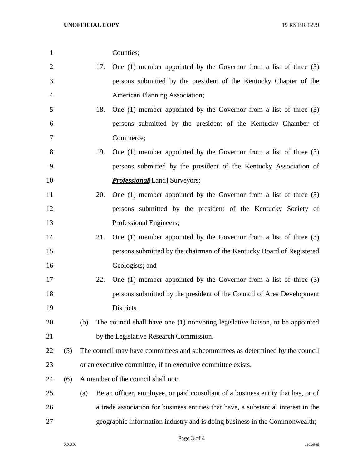Counties;

| $\overline{2}$ |     | 17.                                                                            | One $(1)$ member appointed by the Governor from a list of three $(3)$              |  |
|----------------|-----|--------------------------------------------------------------------------------|------------------------------------------------------------------------------------|--|
| 3              |     |                                                                                | persons submitted by the president of the Kentucky Chapter of the                  |  |
| $\overline{4}$ |     |                                                                                | <b>American Planning Association;</b>                                              |  |
| 5              |     | 18.                                                                            | One $(1)$ member appointed by the Governor from a list of three $(3)$              |  |
| 6              |     |                                                                                | persons submitted by the president of the Kentucky Chamber of                      |  |
| 7              |     |                                                                                | Commerce;                                                                          |  |
| 8              |     | 19.                                                                            | One $(1)$ member appointed by the Governor from a list of three $(3)$              |  |
| 9              |     |                                                                                | persons submitted by the president of the Kentucky Association of                  |  |
| 10             |     |                                                                                | <b>Professional</b> [Land] Surveyors;                                              |  |
| 11             |     | 20.                                                                            | One $(1)$ member appointed by the Governor from a list of three $(3)$              |  |
| 12             |     |                                                                                | persons submitted by the president of the Kentucky Society of                      |  |
| 13             |     |                                                                                | Professional Engineers;                                                            |  |
| 14             |     | 21.                                                                            | One $(1)$ member appointed by the Governor from a list of three $(3)$              |  |
| 15             |     |                                                                                | persons submitted by the chairman of the Kentucky Board of Registered              |  |
| 16             |     |                                                                                | Geologists; and                                                                    |  |
| 17             |     | 22.                                                                            | One $(1)$ member appointed by the Governor from a list of three $(3)$              |  |
| 18             |     |                                                                                | persons submitted by the president of the Council of Area Development              |  |
| 19             |     |                                                                                | Districts.                                                                         |  |
| 20             |     | (b)                                                                            | The council shall have one (1) nonvoting legislative liaison, to be appointed      |  |
| 21             |     |                                                                                | by the Legislative Research Commission.                                            |  |
| 22             | (5) | The council may have committees and subcommittees as determined by the council |                                                                                    |  |
| 23             |     | or an executive committee, if an executive committee exists.                   |                                                                                    |  |
| 24             | (6) | A member of the council shall not:                                             |                                                                                    |  |
| 25             |     | (a)                                                                            | Be an officer, employee, or paid consultant of a business entity that has, or of   |  |
| 26             |     |                                                                                | a trade association for business entities that have, a substantial interest in the |  |
| 27             |     |                                                                                | geographic information industry and is doing business in the Commonwealth;         |  |
|                |     |                                                                                |                                                                                    |  |